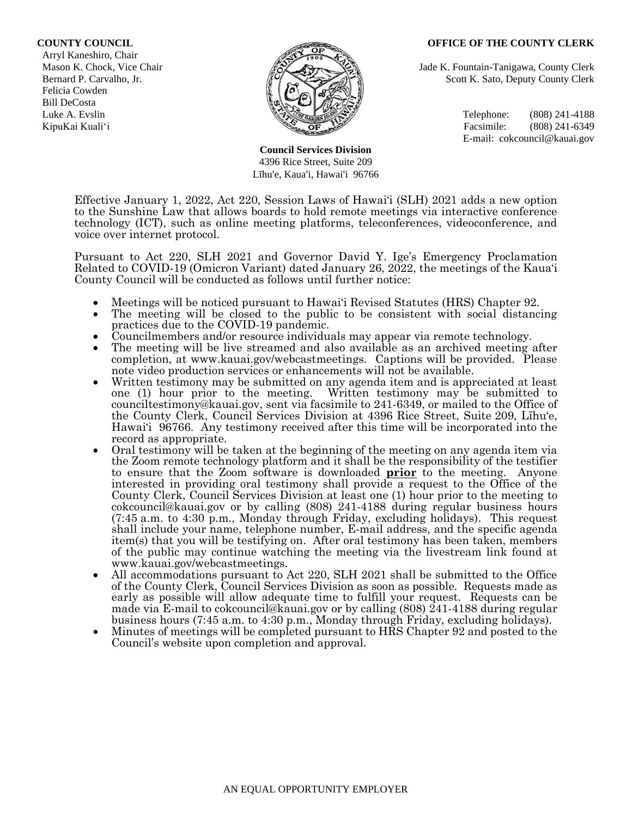#### **COUNTY COUNCIL OFFICE OF THE COUNTY CLERK**

 Arryl Kaneshiro, Chair Felicia Cowden Bill DeCosta



**Council Services Division** 4396 Rice Street, Suite 209 Līhu'e, Kaua'i, Hawai'i 96766

Mason K. Chock, Vice Chair **Jade K. Fountain-Tanigawa, County Clerk** Jade K. Fountain-Tanigawa, County Clerk Bernard P. Carvalho, Jr. Scott K. Sato, Deputy County Clerk

Luke A. Evslin  $\mathbb{R}^n$  Telephone: (808) 241-4188 KipuKai Kuali'i Facsimile: (808) 241-6349 E-mail: cokcouncil@kauai.gov

Effective January 1, 2022, Act 220, Session Laws of Hawai'i (SLH) 2021 adds a new option to the Sunshine Law that allows boards to hold remote meetings via interactive conference technology (ICT), such as online meeting platforms, teleconferences, videoconference, and voice over internet protocol.

Pursuant to Act 220, SLH 2021 and Governor David Y. Ige's Emergency Proclamation Related to COVID-19 (Omicron Variant) dated January 26, 2022, the meetings of the Kaua'i County Council will be conducted as follows until further notice:

- Meetings will be noticed pursuant to Hawai'i Revised Statutes (HRS) Chapter 92.
- The meeting will be closed to the public to be consistent with social distancing practices due to the COVID-19 pandemic.
- Councilmembers and/or resource individuals may appear via remote technology.
- The meeting will be live streamed and also available as an archived meeting after completion, at www.kauai.gov/webcastmeetings. Captions will be provided. Please note video production services or enhancements will not be available.
- Written testimony may be submitted on any agenda item and is appreciated at least one (1) hour prior to the meeting. Written testimony may be submitted to Written testimony may be submitted to counciltestimony@kauai.gov, sent via facsimile to 241-6349, or mailed to the Office of the County Clerk, Council Services Division at 4396 Rice Street, Suite 209, Līhu'e, Hawai'i 96766. Any testimony received after this time will be incorporated into the record as appropriate.
- Oral testimony will be taken at the beginning of the meeting on any agenda item via the Zoom remote technology platform and it shall be the responsibility of the testifier to ensure that the Zoom software is downloaded **prior** to the meeting. Anyone interested in providing oral testimony shall provide a request to the Office of the County Clerk, Council Services Division at least one (1) hour prior to the meeting to cokcouncil@kauai.gov or by calling (808) 241-4188 during regular business hours (7:45 a.m. to 4:30 p.m., Monday through Friday, excluding holidays). This request shall include your name, telephone number, E-mail address, and the specific agenda item(s) that you will be testifying on. After oral testimony has been taken, members of the public may continue watching the meeting via the livestream link found at www.kauai.gov/webcastmeetings.
- All accommodations pursuant to Act 220, SLH 2021 shall be submitted to the Office of the County Clerk, Council Services Division as soon as possible. Requests made as early as possible will allow adequate time to fulfill your request. Requests can be made via E-mail to cokcouncil@kauai.gov or by calling (808) 241-4188 during regular business hours (7:45 a.m. to 4:30 p.m., Monday through Friday, excluding holidays).
- Minutes of meetings will be completed pursuant to HRS Chapter 92 and posted to the Council's website upon completion and approval.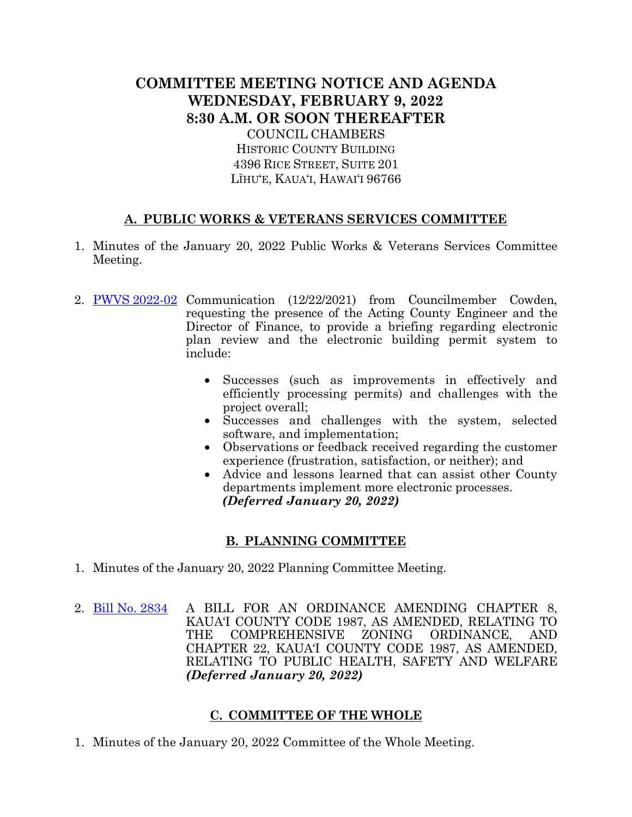# **COMMITTEE MEETING NOTICE AND AGENDA WEDNESDAY, FEBRUARY 9, 2022 8:30 A.M. OR SOON THEREAFTER** COUNCIL CHAMBERS

HISTORIC COUNTY BUILDING 4396 RICE STREET, SUITE 201 LĪHU'E, KAUA'I, HAWAI'I 96766

### **A. PUBLIC WORKS & VETERANS SERVICES COMMITTEE**

- 1. Minutes of the January 20, 2022 Public Works & Veterans Services Committee Meeting.
- 2. PWVS [2022-02](https://kauai.granicus.com/MetaViewer.php?view_id=&event_id=1001&meta_id=156114) Communication (12/22/2021) from Councilmember Cowden, requesting the presence of the Acting County Engineer and the Director of Finance, to provide a briefing regarding electronic plan review and the electronic building permit system to include:
	- Successes (such as improvements in effectively and efficiently processing permits) and challenges with the project overall;
	- Successes and challenges with the system, selected software, and implementation;
	- Observations or feedback received regarding the customer experience (frustration, satisfaction, or neither); and
	- Advice and lessons learned that can assist other County departments implement more electronic processes.  *(Deferred January 20, 2022)*

## **B. PLANNING COMMITTEE**

- 1. Minutes of the January 20, 2022 Planning Committee Meeting.
- 2. [Bill No. 2834](https://kauai.granicus.com/MetaViewer.php?view_id=&event_id=1001&meta_id=156116) A BILL FOR AN ORDINANCE AMENDING CHAPTER 8, KAUA'I COUNTY CODE 1987, AS AMENDED, RELATING TO THE COMPREHENSIVE ZONING ORDINANCE, AND CHAPTER 22, KAUA'I COUNTY CODE 1987, AS AMENDED, RELATING TO PUBLIC HEALTH, SAFETY AND WELFARE *(Deferred January 20, 2022)*

#### **C. COMMITTEE OF THE WHOLE**

1. Minutes of the January 20, 2022 Committee of the Whole Meeting.